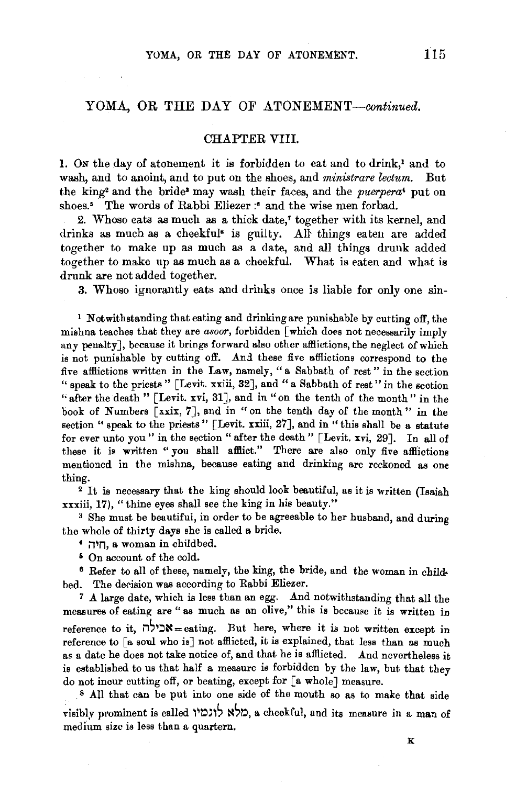## YOMA, OR THE DAY OF ATONEMENT-continued.

## CHAPTER VIII.

1. ON the day of atonement it is forbidden to eat and to drink,' and to wash, and to anoint, and to put on the shoes, and *ministrare lectum*. But the king2 and the bride• may wash their faces, and the *puerpera'* put on shoes.<sup>5</sup> The words of Rabbi Eliezer :<sup>6</sup> and the wise men forbad.

2. Whoso eats as much as a thick date,' together with its kernel, and drinks as much as a cheekful<sup>s</sup> is guilty. All things eaten are added together to make up as much as a date, and all things drunk added together to make up as much as a cheekful. What is eaten and what is drunk are not added together.

3. Whoso ignorantly eats and drinks once is liable for only one sin-

' Notwithstanding that eating and drinking are punishable by cutting off, the mishna teaches that they are *asoor,* forbidden [which does not necessarily imply any penalty], because it brings forward also other afflictions, the neglect of which is not punishable by cutting off. And these five atllictions correspond to the five afHictions written in the Law, namely," a Sabbath of rest" in the section "speak to the priests" [Levit. xxiii, 32], and "a Sabbath of rest" in the section "after the death " [Levit. xvi, 31], and in "on the tenth of the month" in the book of Numbers [xxix, 7], and in "on the tenth day of the month" in the section " speak to the priests" [Levit. xxiii, 27], and in "this shall be a statute for ever unto you" in the section "after the death" [Levit. xvi, 29]. In all of these it is written "you shall afflict." There are also only five afflictions mentioned in the mishna, because eating and drinking are reckoned as one thing.

<sup>2</sup> It is necessary that the king should look beautiful, as it is written (Isaiah xxxiii, 17), "thine eyes shall see the king in his beauty."<br> $3$  She must be beautiful, in order to be agreeable to her husband, and during

the whole of thirty days she is called a bride.

- n~n, a woman in childbed.
- 5 On account of the cold.

6 Refer to all of these, namely, the king, the bride, and the woman in childbed. The decision was according to Rabbi Eliezer.

7 A large date, which is less than an egg. And notwithstanding that all the measures of eating are " as much as an olive," this is because it is written in reference to it,  $\forall x$  =eating. But here, where it is not written except in reference to [a soul who is] not afflicted, it is explained, that less than as much as a date he does not take notice of, and that he is afHicted. And nevertheless it is established to us that half a measure is forbidden by the law, but that they do not incur cutting off, or beating, except for [a whole] measure.

s All that can be put into one side of the mouth so as to make that side visibly prominent is called לוגמיו a cheekful, and its measure in a man of medium size is less than a quartern.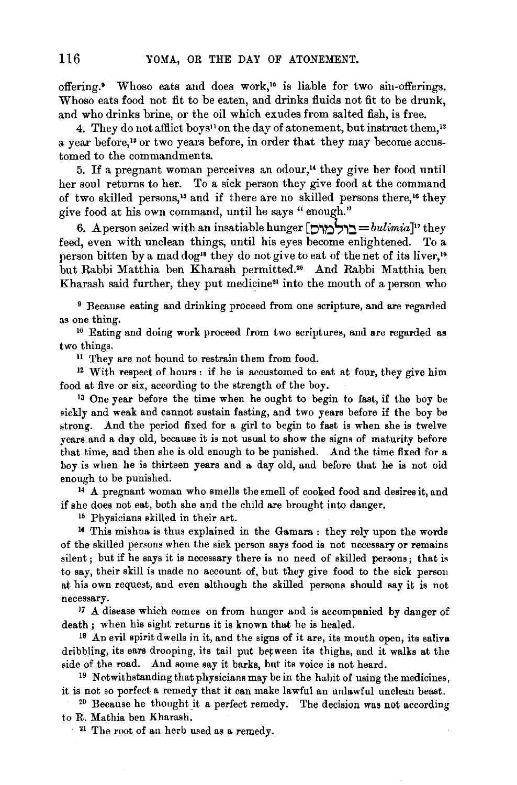offering.• Whoso eats and does work,'• is liable for two sin-offerings. Whoso eats food not fit to be eaten, and drinks fluids not fit to be drunk, and who drinks brine, or the oil which exudes from salted fish, is free.

4. They do not afflict boys<sup>11</sup> on the day of atonement, but instruct them,<sup>12</sup> a year before,<sup>13</sup> or two years before, in order that they may become accustomed to the commandments.

5. If a pregnant woman perceives an odour,<sup> $u$ </sup> they give her food until her soul returns to her. To a sick person they give food at the command of two skilled persons,<sup>15</sup> and if there are no skilled persons there,<sup>16</sup> they give food at his own command, until he says " enough."

6. *A* person seized with an insatiable hunger [O,tl~,:J. *=bulimia]"* they feed, even with unclean things, until his eyes become enlightened. To a person bitten by a mad dog<sup>18</sup> they do not give to eat of the net of its liver,<sup>19</sup> but Rabbi Matthia ben Kharash permitted.•• And Rabbi Matthia ben Kharash said further, they put medicine<sup>21</sup> into the mouth of a person who

9 Because eating and drinking proceed from one scripture, and are regarded as one thing.<br><sup>10</sup> Eating and doing work proceed from two scriptures, and are regarded as

two things.

<sup>11</sup> They are not bound to restrain them from food.

<sup>12</sup> With respect of hours : if he is accustomed to eat at four, they give him food at five or six, according to the strength of the boy. 13 One year before the time when he ought to begin to fast, if the boy be

sickly and weak and cannot sustain fasting, and two years before if the boy be strong. And the period fixed for a girl to begin to fast is when she is twelve years and a day old, because it is not usual to show the signs of maturity before that time, and then she is old enough to be punished. And the time fixed for a boy is when he is thirteen years and a day old, and before that he is not old

enough to be punished. 14 A pregnant woman who smells the smell of cooked food and desires it, and if she does not eat, both she and the child are brought into danger.<br><sup>15</sup> Physicians skilled in their art.<br><sup>16</sup> This mishna is thus explained in the Gamara : they rely upon the words

of the skilled persons when the sick person says food is not necessary or remains silent ; but if he says it is necessary there is no need of skilled persons; that is to say, their skill is made no account of, but they give food to the sick person at his own request, and even although the skilled persons should say it is not necessary. 17 A disease which comes on from hunger and is accompanied by danger of

death; when his sight returns it is known that he is healed.

18 An evil spirit dwells in it, and the signs of it are, its mouth open, its saliva dribbling, its ears drooping, its tail put between its thighs, and it walks at the side of the road. And some say it barks, but its voice is not heard.<br><sup>19</sup> Notwithstanding that physicians may be in the habit of using the medicines,

it is not so perfect a remedy that it can make lawful an unlawful unclean beast.<br><sup>20</sup> Because he thought it a perfect remedy. The decision was not according

to R. Mathia ben Kharash.

 $21$  The root of an herb used as a remedy.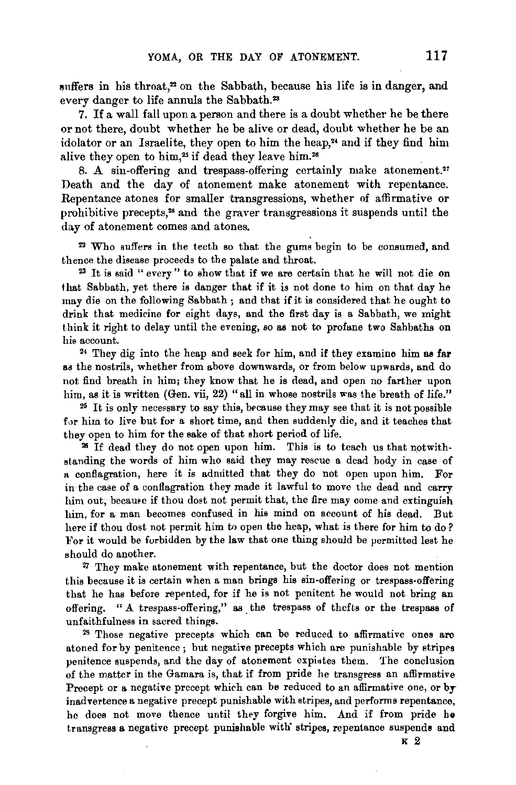suffers in his throat,<sup>22</sup> on the Sabbath, because his life is in danger, and every danger to life annuls the Sabbath.23

7. If a wall fall upon a person and there is a doubt whether he be there .or not there, doubt whether he be alive or dead, doubt whether he be an idolator or an Israelite, they open to him the heap,<sup>24</sup> and if they find him alive they open to him,<sup>25</sup> if dead they leave him.<sup>26</sup>

8. A sin-offering and trespass-offering certainly make atonement." Death and the day of atonement make atonement with repentance. Repentance atones for smaller transgressions, whether of affirmative or prohibitive precepts,<sup>28</sup> and the graver transgressions it suspends until the day of atonement comes and atones.

!12 Who suffers in the teeth so that the gums begin to be consumed, and thence the disease proceeds to the palate and throat.<br><sup>23</sup> It is said " every " to show that if we are certain that he will not die on

that Sabbath, yet there is danger that if it is not done to him on that day he may die on the following Sabbath ; and that if it is considered that he ought to drink that medicine for eight days, and the first day is a Sabbath, we might think it right to delay until the evening, so as not to profane two Sabbaths on his account.

24 They dig into the heap and seek for him, and if they examine him as far as the nostrils, whether from above downwards, or from below upwards, and do not find breath in him; they know that he is dead, and open no farther upon him, as it is written (Gen. vii, 22) "all in whose nostrils was the breath of life."

 $25$  It is only necessary to say this, because they may see that it is not possible for him to live but for a short time, and then suddenly die, and it teaches that they open to him for the sake of that short period of life.

26 If dead they do not open upon him. This is to teach us that notwithstanding the words of him who said they may rescue a dead body in case of a conflagration, here it is admitted that they do not open upon him. For in the case of a conflagration they made it lawful to move the dead and carry him out, became if thou dost not permit that, the fire may come and extinguish him, for a man becomes confused in his mind on account of his dead. But here if thou dost not permit him to open the heap, what is there for him to do? For it would be forbidden by the law that one thing should be permitted lest he should do another.

*Zl* They make atonement with repentance, but the doctor does not mention this because it is certain when a man brings his sin-offering or trespass-offering that he has before repented, for if he is not penitent he would not bring an offering. " A trespass-offering," as the trespass of thefts or the trespass of unfaithfulness in sacred things.<br><sup>28</sup> Those negative precepts which can be reduced to affirmative ones arc

atoned for by penitence ; but negative precepts which are punishable by stripes penitence suspends, and the day of atonement expirtes them. The conclusion of the matter in the Gamara is, that if from pride he transgress an affirmative Precept or a negative precept which can be reduced to an affirmative one, or by inadvertence a negative precept punishable with stripes, and performs repentance, he does not move thence until they forgive him. And if from pride he transgress a negative precept punishable with" stripes, repentance suspends and